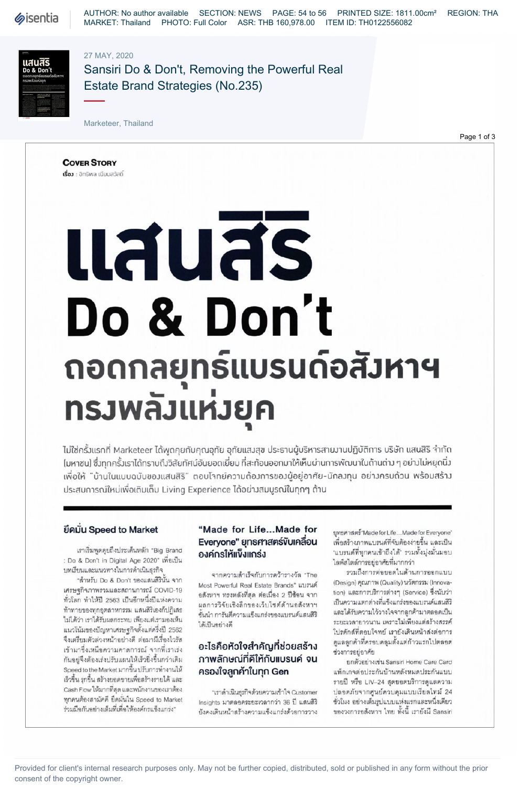**Sisentia** 

AUTHOR: No author available SECTION: NEWS PAGE: 54 to 56 PRINTED SIZE: 1811.00cm² REGION: THA MARKET: Thailand PHOTO: Full Color ASR: THB 160,978.00 ITEM ID: TH0122556082

### 27 MAY, 2020



Sansiri Do & Don't, Removing the Powerful Real Estate Brand Strategies (No.235)

Marketeer, Thailand

Page 1 of 3

**COVER STORY** เรื่อง : อิทธิพล เนียมสวัสดิ์

# แสนสร Do & Don't ถอดกลยุทธ์แบรนด์อสังหาฯ ทรวพลัวแห่งยุค

ไม่ใช่ครั้งแรกที่ Marketeer ได้พูดคุยกับคุณอุทัย อุทัยแสงสุข ประธานผู้บริหารสายงานปฏิบัติการ บริษัท แสนสิริ จำกัด (มหาซน) ซึ่งทุกครั้งเราได้ทราบถึงวิสัยทัศน์อันยอดเยี่ยม ที่สะท้อนออกมาให้เห็นผ่านการพัฒนาในด้านต่าง ๆ อย่างไม่หยุดนิ่ง เพื่อให้ "บ้านในแบบฉบับของแสนสิริ" ตอบโาทย์ความต้องการของผู้อยู่อาศัย-นักลงทุน อย่างครบด้วน พร้อมสร้าง ประสบการณ์ใหม่เพื่อเติมเต็ม Living Experience ได้อย่างสมบูรณ์ในทุกๆ ด้าน

#### ยึดมั่น Speed to Market

เราเริ่มพูดคุยถึงประเด็นหลัก "Big Brand : Do & Don't in Digital Age 2020" เพื่อเป็น บทเรียนและแนวทางในการดำเนินธุรกิจ

"สำหรับ Do & Don't ของแสนสิรินั้น จาก เศรษฐกิจภาพรวมและสถานการณ์ COVID-19 ทั่วโลก ทำให้ปี 2563 เป็นอีกหนึ่งปีแห่งความ ท้าทายของทุกอุตสาหกรรม แสนสิริเองก็ปฏิเสธ ไม่ได้ว่า เราได้รับผลกระทบ เพียงแต่เรามองเห็น แนวโน้มของปัญหาเศรษฐกิจตั้งแต่ครึ่งปี 2562 จึงเตรียมตัวล่วงหน้าอย่างดี ต่อมามีเรื่องไวรัส เข้ามาซึ่งเหนือความคาดการณ์ จากที่เราเร่ง กันอยู่จึงต้องเร่งปรับแผนให้เร็วยิ่งขึ้นกว่าเดิม Speed to the Market มากขึ้น ปรับการทำงานให้ เร็วขึ้น รุกขึ้น สร้างยอดขายเพื่อสร้างรายได้ และ Cash Flow ให้มากที่สุด และพนักงานของเราต้อง ทุกคนต้องสามัคคี ยึดมั่นใน Speed to Market ร่วมมือกันอย่างเต็มที่เพื่อให้องค์กรแข็งแกร่ง"

#### "Made for Life...Made for Everyone" ยุทธศาสตร์ขับเคลื่อน องค์กรให้แข็งแกร่ง

จากความสำเร็จกับการคว้ารางวัล "The Most Powerful Real Estate Brands" แบรนด์ อสังหาฯ ทรงพลังที่สุด ต่อเนื่อง 2 ปีซ้อน จาก ผลการวิจัยเชิงลึกของเว็บไซต์ด้านอลังหาฯ ชั้นนำ การันตีความแข็งแกร่งของแบรนด์แสนสิริ ได้เป็นอย่างดี

# อะไรคือหัวใจสำคัญที่ช่วยสร้าง ภาพลักษณ์ที่คีให้กับแบรนค์ จน ครองใจลูกค้าในทุก Gen

"เราดำเนินธุรกิจด้วยความเข้าใจ Customer Insights มาตลอดระยะเวลากว่า 36 ปี แสนสิริ ยังคงเดินหน้าสร้างความแข็งแกร่งด้วยการวาง ยุทธศาสตร์ 'Made for Life...Made for Everyone' เพื่อสร้างภาพแบรนด์ที่จับต้องง่ายขึ้น และเป็น 'แบรนด์ที่ทุกคนเข้าถึงได้' รวมทั้งมุ่งมั่นมอบ ไลพ์สไตล์การอยู่อาศัยที่มากกว่า

รวมถึงการต่อยอดในด้านการออกแบบ (Design) คุณภาพ (Quality) นวัตกรรม (Innovation) และการบริการต่างๆ (Service) ซึ่งนับว่า เป็นความแตกต่างที่แข็งแกร่งของแบรนด์แลนสิริ และได้รับความไว้วางใจจากลูกค้ามาตลอดเป็น ระยะเวลายาวนาน เพราะไม่เพียงแต่สร้างสรรค์ โปรดักส์ที่ตอบโจทย์ เรายังเดินหน้าส่งต่อการ ดูแลลูกค้าที่ครอบคลุมตั้งแต่ก้าวแรกไปตลอด ช่วงการอยู่อาศัย

ยกตัวอย่างเช่น Sansiri Home Care Card แพ็กเกจต่อประกันบ้านหลังหมดประกันแบบ รายปี หรือ LIV-24 สุดยอดบริการดูแลความ ปลอดภัยจากศูนย์ควบคุมแบบเรียลไทม์ 24 ชั่วโมง อย่างเต็มรูปแบบแห่งแรกและหนึ่งเดียว ของวงการอสังหาฯ ไทย ทั้งนี้ เรายังมี Sansiri

Provided for client's internal research purposes only. May not be further copied, distributed, sold or published in any form without the prior consent of the copyright owner.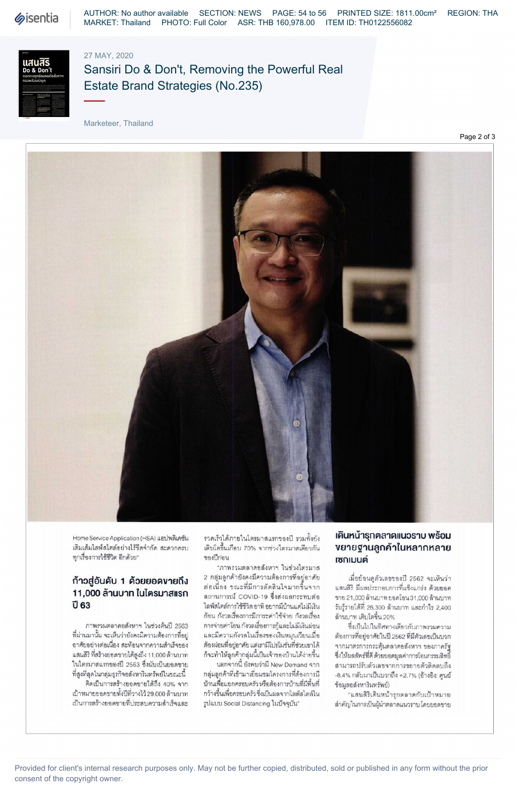

#### 27 MAY, 2020



# Sansiri Do & Don't, Removing the Powerful Real Estate Brand Strategies (No.235)

Marketeer, Thailand

Page 2 of 3



Home Service Application (HSA) แอปพลิเคชัน เติมเต็มไลพ์สไตล์อย่างไร้ขีดจำกัด สะดวกครบ ทุกเรื่องการใช้ชีวิต อีกด้วย"

### ก้าวสู่อันคับ 1 ค้วยยอดขายถึง 11,000 ล้านบาท ในไตรมาสแรก ปี 63

ภาพรวมตลาดอสังหาฯ ในช่วงต้นปี 2563 ที่ผ่านมานั้น จะเห็นว่ายังคงมีความต้องการที่อย่ อาศัยอย่างต่อเนื่อง สะท้อนจากความสำเร็จของ แสนสิริ ที่สร้างยอดขายได้สูงถึง 11,000 ล้านบาท ในไตรมาสแรกของปี 2563 ซึ่งนับเป็นยอดขาย ที่สูงที่สุดในกลุ่มธุรกิจอลังหาริมทรัพย์ในขณะนี้ คิดเป็นการสร้างยอดขายได้ถึง 40% จาก

เป้าหมายยอดขายทั้งปีที่วางไว้ 29,000 ล้านบาท เป็นการสร้างยอดขายที่ประสบความสำเร็จและ รวดเร็วได้ภายในไตรมาสแรกของปี รวมทั้งยัง เติบโตขึ้นเกือบ 70% จากช่วงไตรมาสเดียวกัน ของปีก่อน

"ภาพรวมตลาดอสังหาฯ ในช่วงไตรมาส 2 กลุ่มลูกค้ายังคงมีความต้องการที่อยู่อาศัย ต่อเนื่อง ขณะที่มีการตัดสินใจมากขึ้นจาก สถานการณ์ COVID-19 ซึ่งส่งผลกระทบต่อ ไลฟ์สไตล์การใช้ชีวิต อาทิ อยากมีบ้านแต่ไม่มีเงิน ก้อน กังวลเรื่องการมีภาระค่าใช้จ่าย กังวลเรื่อง การจ่ายค่าโอน กังวลเรื่องการกู้และไม่มีเงินผ่อน และมีความกังวลในเรื่องของเงินหมุนเวียนเมื่อ ต้องผ่อนที่อยู่อาศัย แต่เรามีโปรโมชั่นที่ช่วยเขาได้ ก็จะทำให้ลูกค้ากลุ่มนี้เป็นเจ้าของบ้านได้ง่ายขึ้น

นอกจากนี้ ยังพบว่ามี New Demand จาก กลุ่มลูกค้าที่เข้ามาเยี่ยมขมโครงการที่ต้องการมี บ้านเพื่อแยกครอบครัว หรือต้องการบ้านที่มีพื้นที่ กว้างขึ้นเพื่อครอบครัว ซึ่งเป็นผลจากไลพ์สไตล์ใน รูปแบบ Social Distancing ในปัจจุบัน"

### เคินหน้ารุกตลาคแนวราบ พร้อม งยายฐานลูกค้าในหลากหลาย าซกเมนต์

เมื่อย้อนดูตัวเลขของปี 2562 จะเห็นว่า แสนสิริ มีผลประกอบการที่แข็งแกร่ง ด้วยยอด ขาย 21,000 ล้านบาท ยอดโอน 31,000 ล้านบาท รับรู้รายได้ที่ 26,300 ล้านบาท และกำไร 2,400 ล้านบาท เติบโตขึ้น 20%

ซึ่งเป็นไปในทิศทางเดียวกับภาพรวมความ ต้องการที่อยู่อาศัยในปี 2562 ที่มีตัวเลขเป็นบวก จากมาตรการกระตุ้นตลาดอสังหาฯ ของภาครัฐ ซึ่งให้ผลลัพธ์ที่ดี ด้วยยอดมูลค่าการโอนกรรมสิทธิ์ สามารถปรับตัวเลขจากการขยายตัวติดลบถึง -8.4% กลับมาเป็นบวกถึง +2.7% (อ้างอิง: ศูนย์ ข้อมูลอลังหาริมทรัพย์)

"แสนสิริเดินหน้ารุกตลาดกับเป้าหมาย สำคัญในการเป็นผู้นำตลาดแนวราบ โดยยอดขาย

Provided for client's internal research purposes only. May not be further copied, distributed, sold or published in any form without the prior consent of the copyright owner.